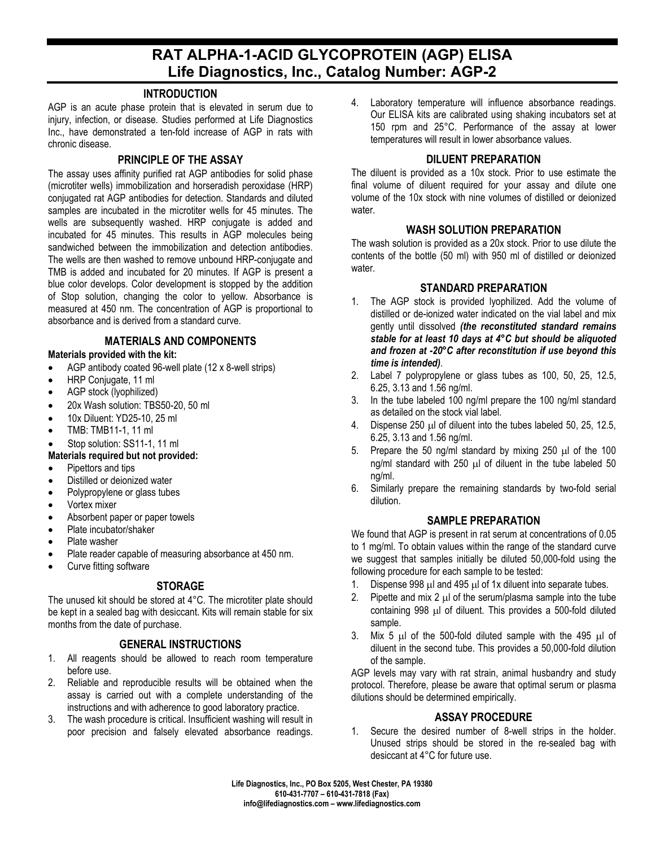# **RAT ALPHA-1-ACID GLYCOPROTEIN (AGP) ELISA Life Diagnostics, Inc., Catalog Number: AGP-2**

## **INTRODUCTION**

AGP is an acute phase protein that is elevated in serum due to injury, infection, or disease. Studies performed at Life Diagnostics Inc., have demonstrated a ten-fold increase of AGP in rats with chronic disease.

## **PRINCIPLE OF THE ASSAY**

The assay uses affinity purified rat AGP antibodies for solid phase (microtiter wells) immobilization and horseradish peroxidase (HRP) conjugated rat AGP antibodies for detection. Standards and diluted samples are incubated in the microtiter wells for 45 minutes. The wells are subsequently washed. HRP conjugate is added and incubated for 45 minutes. This results in AGP molecules being sandwiched between the immobilization and detection antibodies. The wells are then washed to remove unbound HRP-conjugate and TMB is added and incubated for 20 minutes. If AGP is present a blue color develops. Color development is stopped by the addition of Stop solution, changing the color to yellow. Absorbance is measured at 450 nm. The concentration of AGP is proportional to absorbance and is derived from a standard curve.

## **MATERIALS AND COMPONENTS**

#### **Materials provided with the kit:**

- AGP antibody coated 96-well plate (12 x 8-well strips)
- HRP Conjugate, 11 ml
- AGP stock (lyophilized)
- 20x Wash solution: TBS50-20, 50 ml
- 10x Diluent: YD25-10, 25 ml
- TMB: TMB11-1, 11 ml
- Stop solution: SS11-1, 11 ml
- **Materials required but not provided:**
- Pipettors and tips
- Distilled or deionized water
- Polypropylene or glass tubes
- Vortex mixer
- Absorbent paper or paper towels
- Plate incubator/shaker
- Plate washer
- Plate reader capable of measuring absorbance at 450 nm.
- Curve fitting software

# **STORAGE**

The unused kit should be stored at 4°C. The microtiter plate should be kept in a sealed bag with desiccant. Kits will remain stable for six months from the date of purchase.

## **GENERAL INSTRUCTIONS**

- 1. All reagents should be allowed to reach room temperature before use.
- 2. Reliable and reproducible results will be obtained when the assay is carried out with a complete understanding of the instructions and with adherence to good laboratory practice.
- 3. The wash procedure is critical. Insufficient washing will result in poor precision and falsely elevated absorbance readings.

4. Laboratory temperature will influence absorbance readings. Our ELISA kits are calibrated using shaking incubators set at 150 rpm and 25°C. Performance of the assay at lower temperatures will result in lower absorbance values.

# **DILUENT PREPARATION**

The diluent is provided as a 10x stock. Prior to use estimate the final volume of diluent required for your assay and dilute one volume of the 10x stock with nine volumes of distilled or deionized water.

## **WASH SOLUTION PREPARATION**

The wash solution is provided as a 20x stock. Prior to use dilute the contents of the bottle (50 ml) with 950 ml of distilled or deionized water.

## **STANDARD PREPARATION**

- 1. The AGP stock is provided lyophilized. Add the volume of distilled or de-ionized water indicated on the vial label and mix gently until dissolved *(the reconstituted standard remains stable for at least 10 days at 4°C but should be aliquoted and frozen at -20°C after reconstitution if use beyond this time is intended)*.
- 2. Label 7 polypropylene or glass tubes as 100, 50, 25, 12.5, 6.25, 3.13 and 1.56 ng/ml.
- 3. In the tube labeled 100 ng/ml prepare the 100 ng/ml standard as detailed on the stock vial label.
- 4. Dispense 250 µl of diluent into the tubes labeled 50, 25, 12.5, 6.25, 3.13 and 1.56 ng/ml.
- 5. Prepare the 50 ng/ml standard by mixing 250  $\mu$ l of the 100 ng/ml standard with  $250 \mu l$  of diluent in the tube labeled 50 ng/ml.
- 6. Similarly prepare the remaining standards by two-fold serial dilution.

# **SAMPLE PREPARATION**

We found that AGP is present in rat serum at concentrations of 0.05 to 1 mg/ml. To obtain values within the range of the standard curve we suggest that samples initially be diluted 50,000-fold using the following procedure for each sample to be tested:

- 1. Dispense 998 µl and 495 µl of 1x diluent into separate tubes.
- 2. Pipette and mix 2  $\mu$  of the serum/plasma sample into the tube containing 998 µl of diluent. This provides a 500-fold diluted sample.
- 3. Mix 5 µl of the 500-fold diluted sample with the 495 µl of diluent in the second tube. This provides a 50,000-fold dilution of the sample.

AGP levels may vary with rat strain, animal husbandry and study protocol. Therefore, please be aware that optimal serum or plasma dilutions should be determined empirically.

## **ASSAY PROCEDURE**

1. Secure the desired number of 8-well strips in the holder. Unused strips should be stored in the re-sealed bag with desiccant at 4°C for future use.

**Life Diagnostics, Inc., PO Box 5205, West Chester, PA 19380 610-431-7707 – 610-431-7818 (Fax) info@lifediagnostics.com – www.lifediagnostics.com**